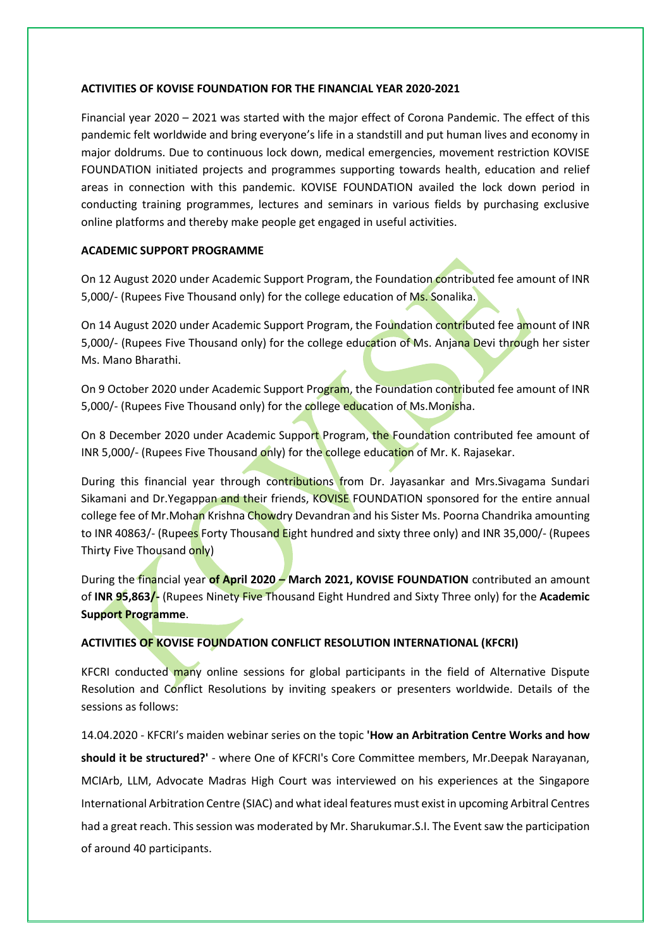#### **ACTIVITIES OF KOVISE FOUNDATION FOR THE FINANCIAL YEAR 2020-2021**

Financial year 2020 – 2021 was started with the major effect of Corona Pandemic. The effect of this pandemic felt worldwide and bring everyone's life in a standstill and put human lives and economy in major doldrums. Due to continuous lock down, medical emergencies, movement restriction KOVISE FOUNDATION initiated projects and programmes supporting towards health, education and relief areas in connection with this pandemic. KOVISE FOUNDATION availed the lock down period in conducting training programmes, lectures and seminars in various fields by purchasing exclusive online platforms and thereby make people get engaged in useful activities.

## **ACADEMIC SUPPORT PROGRAMME**

On 12 August 2020 under Academic Support Program, the Foundation contributed fee amount of INR 5,000/- (Rupees Five Thousand only) for the college education of Ms. Sonalika.

On 14 August 2020 under Academic Support Program, the Foundation contributed fee amount of INR 5,000/- (Rupees Five Thousand only) for the college education of Ms. Anjana Devi through her sister Ms. Mano Bharathi.

On 9 October 2020 under Academic Support Program, the Foundation contributed fee amount of INR 5,000/- (Rupees Five Thousand only) for the college education of Ms.Monisha.

On 8 December 2020 under Academic Support Program, the Foundation contributed fee amount of INR 5,000/- (Rupees Five Thousand only) for the college education of Mr. K. Rajasekar.

During this financial year through contributions from Dr. Jayasankar and Mrs. Sivagama Sundari Sikamani and Dr.Yegappan and their friends, KOVISE FOUNDATION sponsored for the entire annual college fee of Mr. Mohan Krishna Chowdry Devandran and his Sister Ms. Poorna Chandrika amounting to INR 40863/- (Rupees Forty Thousand Eight hundred and sixty three only) and INR 35,000/- (Rupees Thirty Five Thousand only)

During the financial year **of April 2020 – March 2021, KOVISE FOUNDATION** contributed an amount of **INR 95,863/-** (Rupees Ninety Five Thousand Eight Hundred and Sixty Three only) for the **Academic Support Programme**.

# **ACTIVITIES OF KOVISE FOUNDATION CONFLICT RESOLUTION INTERNATIONAL (KFCRI)**

KFCRI conducted many online sessions for global participants in the field of Alternative Dispute Resolution and Conflict Resolutions by inviting speakers or presenters worldwide. Details of the sessions as follows:

14.04.2020 - KFCRI's maiden webinar series on the topic **'How an Arbitration Centre Works and how should it be structured?'** - where One of KFCRI's Core Committee members, Mr.Deepak Narayanan, MCIArb, LLM, Advocate Madras High Court was interviewed on his experiences at the Singapore International Arbitration Centre (SIAC) and what ideal features must exist in upcoming Arbitral Centres had a great reach. This session was moderated by Mr. Sharukumar.S.I. The Event saw the participation of around 40 participants.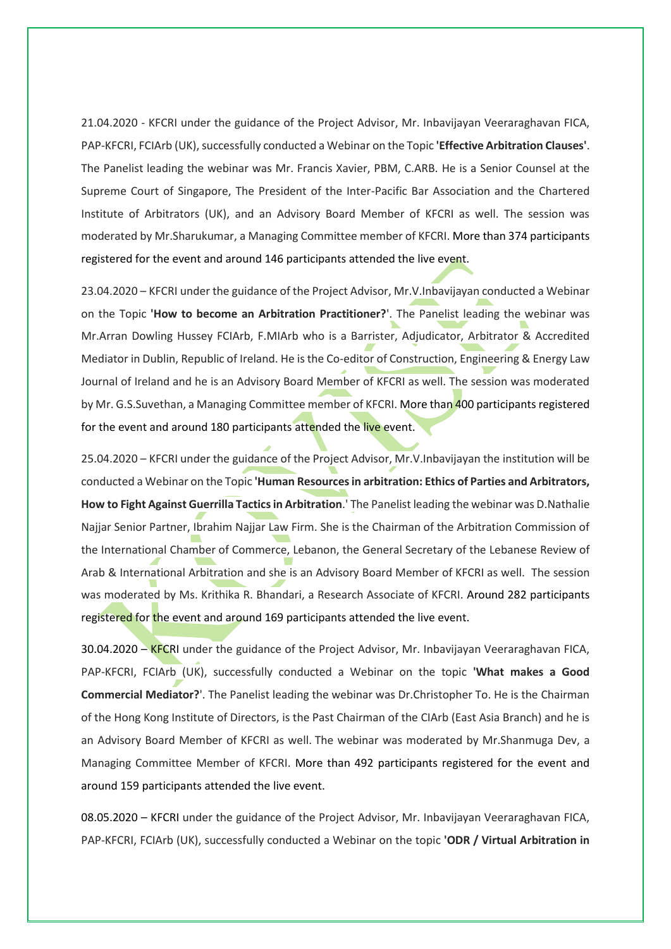21.04.2020 - KFCRI under the guidance of the Project Advisor, Mr. Inbavijayan Veeraraghavan FICA, PAP-KFCRI, FCIArb (UK), successfully conducted a Webinar on the Topic **'Effective Arbitration Clauses'**. The Panelist leading the webinar was Mr. Francis Xavier, PBM, C.ARB. He is a Senior Counsel at the Supreme Court of Singapore, The President of the Inter-Pacific Bar Association and the Chartered Institute of Arbitrators (UK), and an Advisory Board Member of KFCRI as well. The session was moderated by Mr.Sharukumar, a Managing Committee member of KFCRI. More than 374 participants registered for the event and around 146 participants attended the live event.

23.04.2020 – KFCRI under the guidance of the Project Advisor, Mr.V.Inbavijayan conducted a Webinar on the Topic **'How to become an Arbitration Practitioner?**'. The Panelist leading the webinar was Mr.Arran Dowling Hussey FCIArb, F.MIArb who is a Barrister, Adjudicator, Arbitrator & Accredited Mediator in Dublin, Republic of Ireland. He is the Co-editor of Construction, Engineering & Energy Law Journal of Ireland and he is an Advisory Board Member of KFCRI as well. The session was moderated by Mr. G.S.Suvethan, a Managing Committee member of KFCRI. More than 400 participants registered for the event and around 180 participants attended the live event.

25.04.2020 – KFCRI under the guidance of the Project Advisor, Mr.V.Inbavijayan the institution will be conducted a Webinar on the Topic **'Human Resources in arbitration: Ethics of Parties and Arbitrators, How to Fight Against Guerrilla Tactics in Arbitration**.' The Panelist leading the webinar was D.Nathalie Najjar Senior Partner, Ibrahim Najjar Law Firm. She is the Chairman of the Arbitration Commission of the International Chamber of Commerce, Lebanon, the General Secretary of the Lebanese Review of Arab & International Arbitration and she is an Advisory Board Member of KFCRI as well. The session was moderated by Ms. Krithika R. Bhandari, a Research Associate of KFCRI. Around 282 participants registered for the event and around 169 participants attended the live event.

30.04.2020 – KFCRI under the guidance of the Project Advisor, Mr. Inbavijayan Veeraraghavan FICA, PAP-KFCRI, FCIArb (UK), successfully conducted a Webinar on the topic **'What makes a Good Commercial Mediator?**'. The Panelist leading the webinar was Dr.Christopher To. He is the Chairman of the Hong Kong Institute of Directors, is the Past Chairman of the CIArb (East Asia Branch) and he is an Advisory Board Member of KFCRI as well. The webinar was moderated by Mr.Shanmuga Dev, a Managing Committee Member of KFCRI. More than 492 participants registered for the event and around 159 participants attended the live event.

08.05.2020 – KFCRI under the guidance of the Project Advisor, Mr. Inbavijayan Veeraraghavan FICA, PAP-KFCRI, FCIArb (UK), successfully conducted a Webinar on the topic **'ODR / Virtual Arbitration in**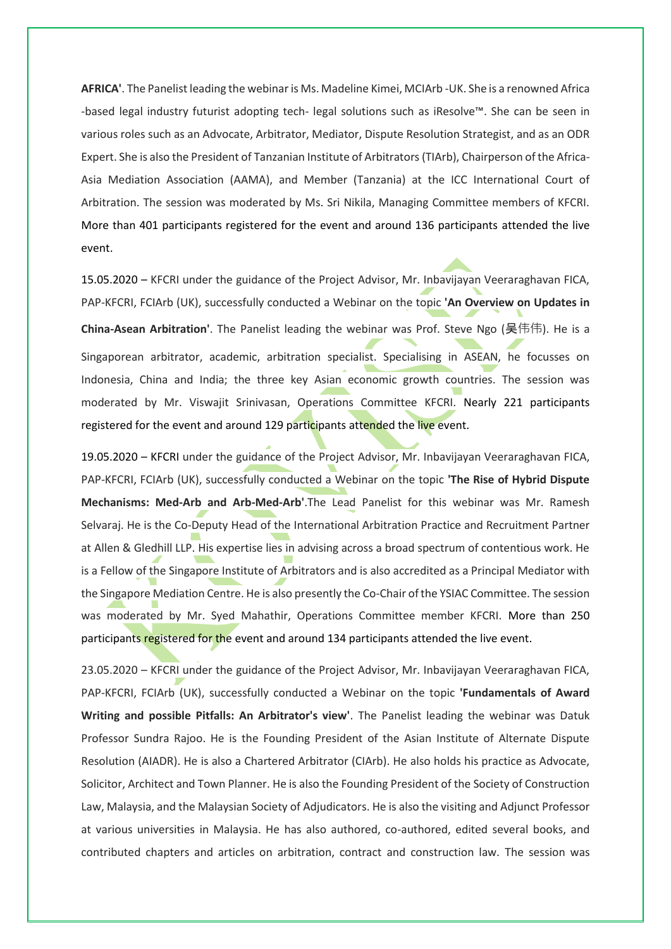**AFRICA'**. The Panelist leading the webinar is Ms. Madeline Kimei, MCIArb -UK. She is a renowned Africa -based legal industry futurist adopting tech- legal solutions such as iResolve™️. She can be seen in various roles such as an Advocate, Arbitrator, Mediator, Dispute Resolution Strategist, and as an ODR Expert. She is also the President of Tanzanian Institute of Arbitrators (TIArb), Chairperson of the Africa-Asia Mediation Association (AAMA), and Member (Tanzania) at the ICC International Court of Arbitration. The session was moderated by Ms. Sri Nikila, Managing Committee members of KFCRI. More than 401 participants registered for the event and around 136 participants attended the live event.

15.05.2020 – KFCRI under the guidance of the Project Advisor, Mr. Inbavijayan Veeraraghavan FICA, PAP-KFCRI, FCIArb (UK), successfully conducted a Webinar on the topic **'An Overview on Updates in China-Asean Arbitration'**. The Panelist leading the webinar was Prof. Steve Ngo (吴伟伟). He is a Singaporean arbitrator, academic, arbitration specialist. Specialising in ASEAN, he focusses on Indonesia, China and India; the three key Asian economic growth countries. The session was moderated by Mr. Viswajit Srinivasan, Operations Committee KFCRI. Nearly 221 participants registered for the event and around 129 participants attended the live event.

19.05.2020 – KFCRI under the guidance of the Project Advisor, Mr. Inbavijayan Veeraraghavan FICA, PAP-KFCRI, FCIArb (UK), successfully conducted a Webinar on the topic **'The Rise of Hybrid Dispute Mechanisms: Med-Arb and Arb-Med-Arb'**.The Lead Panelist for this webinar was Mr. Ramesh Selvaraj. He is the Co-Deputy Head of the International Arbitration Practice and Recruitment Partner at Allen & Gledhill LLP. His expertise lies in advising across a broad spectrum of contentious work. He is a Fellow of the Singapore Institute of Arbitrators and is also accredited as a Principal Mediator with the Singapore Mediation Centre. He is also presently the Co-Chair of the YSIAC Committee. The session was moderated by Mr. Syed Mahathir, Operations Committee member KFCRI. More than 250 participants registered for the event and around 134 participants attended the live event.

23.05.2020 – KFCRI under the guidance of the Project Advisor, Mr. Inbavijayan Veeraraghavan FICA, PAP-KFCRI, FCIArb (UK), successfully conducted a Webinar on the topic **'Fundamentals of Award Writing and possible Pitfalls: An Arbitrator's view'**. The Panelist leading the webinar was Datuk Professor Sundra Rajoo. He is the Founding President of the Asian Institute of Alternate Dispute Resolution (AIADR). He is also a Chartered Arbitrator (CIArb). He also holds his practice as Advocate, Solicitor, Architect and Town Planner. He is also the Founding President of the Society of Construction Law, Malaysia, and the Malaysian Society of Adjudicators. He is also the visiting and Adjunct Professor at various universities in Malaysia. He has also authored, co-authored, edited several books, and contributed chapters and articles on arbitration, contract and construction law. The session was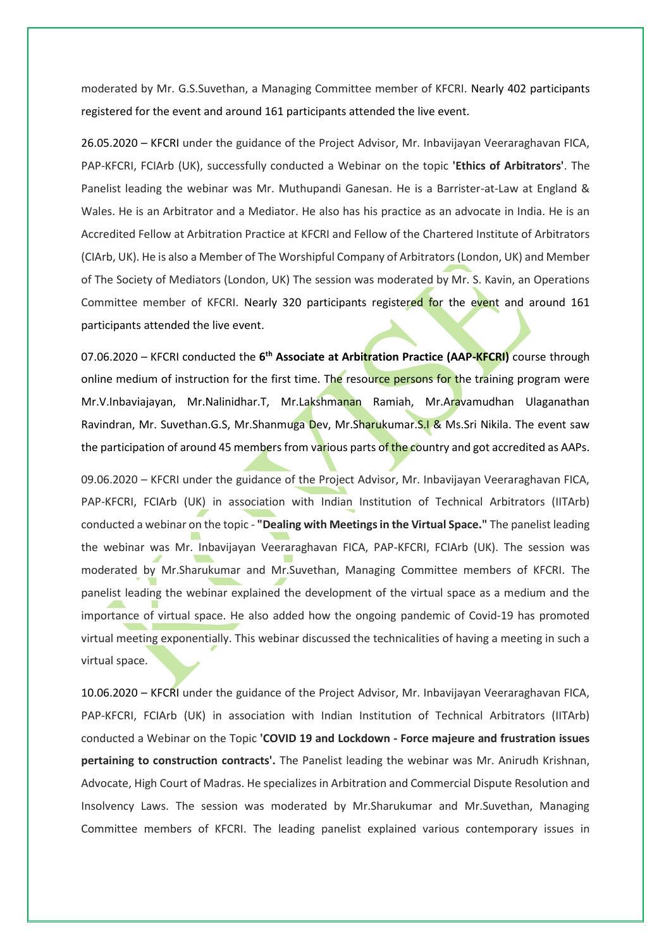moderated by Mr. G.S.Suvethan, a Managing Committee member of KFCRI. Nearly 402 participants registered for the event and around 161 participants attended the live event.

26.05.2020 – KFCRI under the guidance of the Project Advisor, Mr. Inbavijayan Veeraraghavan FICA, PAP-KFCRI, FCIArb (UK), successfully conducted a Webinar on the topic **'Ethics of Arbitrators'**. The Panelist leading the webinar was Mr. Muthupandi Ganesan. He is a Barrister-at-Law at England & Wales. He is an Arbitrator and a Mediator. He also has his practice as an advocate in India. He is an Accredited Fellow at Arbitration Practice at KFCRI and Fellow of the Chartered Institute of Arbitrators (CIArb, UK). He is also a Member of The Worshipful Company of Arbitrators (London, UK) and Member of The Society of Mediators (London, UK) The session was moderated by Mr. S. Kavin, an Operations Committee member of KFCRI. Nearly 320 participants registered for the event and around 161 participants attended the live event.

07.06.2020 – KFCRI conducted the **6 th Associate at Arbitration Practice (AAP-KFCRI)** course through online medium of instruction for the first time. The resource persons for the training program were Mr.V.Inbaviajayan, Mr.Nalinidhar.T, Mr.Lakshmanan Ramiah, Mr.Aravamudhan Ulaganathan Ravindran, Mr. Suvethan.G.S, Mr.Shanmuga Dev, Mr.Sharukumar.S.I & Ms.Sri Nikila. The event saw the participation of around 45 members from various parts of the country and got accredited as AAPs.

09.06.2020 – KFCRI under the guidance of the Project Advisor, Mr. Inbavijayan Veeraraghavan FICA, PAP-KFCRI, FCIArb (UK) in association with Indian Institution of Technical Arbitrators (IITArb) conducted a webinar on the topic - **"Dealing with Meetings in the Virtual Space."** The panelist leading the webinar was Mr. Inbavijayan Veeraraghavan FICA, PAP-KFCRI, FCIArb (UK). The session was moderated by Mr.Sharukumar and Mr.Suvethan, Managing Committee members of KFCRI. The panelist leading the webinar explained the development of the virtual space as a medium and the importance of virtual space. He also added how the ongoing pandemic of Covid-19 has promoted virtual meeting exponentially. This webinar discussed the technicalities of having a meeting in such a virtual space.

10.06.2020 – KFCRI under the guidance of the Project Advisor, Mr. Inbavijayan Veeraraghavan FICA, PAP-KFCRI, FCIArb (UK) in association with Indian Institution of Technical Arbitrators (IITArb) conducted a Webinar on the Topic **'COVID 19 and Lockdown - Force majeure and frustration issues pertaining to construction contracts'.** The Panelist leading the webinar was Mr. Anirudh Krishnan, Advocate, High Court of Madras. He specializes in Arbitration and Commercial Dispute Resolution and Insolvency Laws. The session was moderated by Mr.Sharukumar and Mr.Suvethan, Managing Committee members of KFCRI. The leading panelist explained various contemporary issues in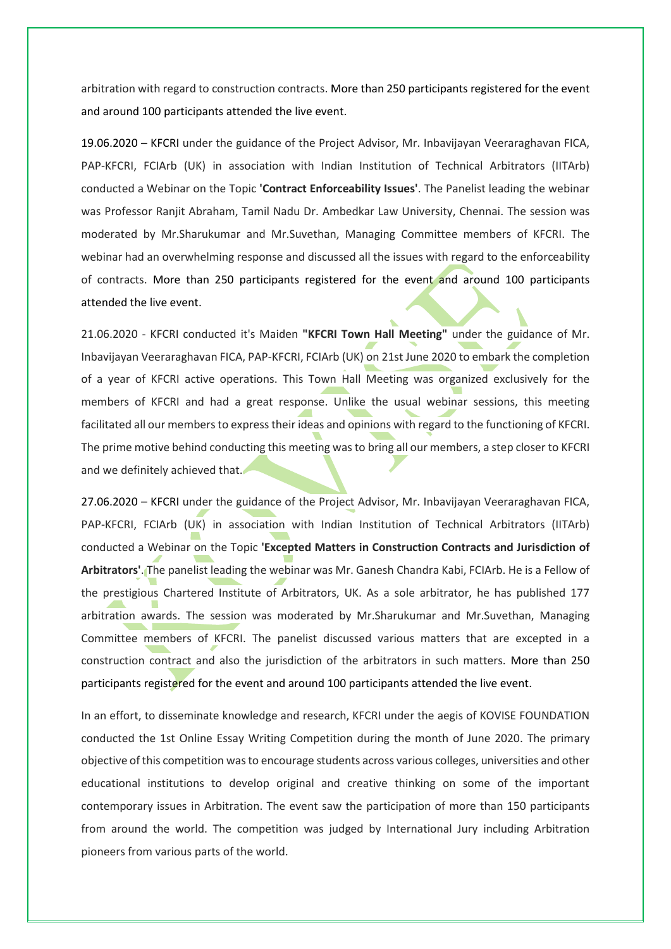arbitration with regard to construction contracts. More than 250 participants registered for the event and around 100 participants attended the live event.

19.06.2020 – KFCRI under the guidance of the Project Advisor, Mr. Inbavijayan Veeraraghavan FICA, PAP-KFCRI, FCIArb (UK) in association with Indian Institution of Technical Arbitrators (IITArb) conducted a Webinar on the Topic **'Contract Enforceability Issues'**. The Panelist leading the webinar was Professor Ranjit Abraham, Tamil Nadu Dr. Ambedkar Law University, Chennai. The session was moderated by Mr.Sharukumar and Mr.Suvethan, Managing Committee members of KFCRI. The webinar had an overwhelming response and discussed all the issues with regard to the enforceability of contracts. More than 250 participants registered for the event and around 100 participants attended the live event.

21.06.2020 - KFCRI conducted it's Maiden **"KFCRI Town Hall Meeting"** under the guidance of Mr. Inbavijayan Veeraraghavan FICA, PAP-KFCRI, FCIArb (UK) on 21st June 2020 to embark the completion of a year of KFCRI active operations. This Town Hall Meeting was organized exclusively for the members of KFCRI and had a great response. Unlike the usual webinar sessions, this meeting facilitated all our members to express their ideas and opinions with regard to the functioning of KFCRI. The prime motive behind conducting this meeting was to bring all our members, a step closer to KFCRI and we definitely achieved that.

27.06.2020 – KFCRI under the guidance of the Project Advisor, Mr. Inbavijayan Veeraraghavan FICA, PAP-KFCRI, FCIArb (UK) in association with Indian Institution of Technical Arbitrators (IITArb) conducted a Webinar on the Topic **'Excepted Matters in Construction Contracts and Jurisdiction of Arbitrators'**. The panelist leading the webinar was Mr. Ganesh Chandra Kabi, FCIArb. He is a Fellow of the prestigious Chartered Institute of Arbitrators, UK. As a sole arbitrator, he has published 177 arbitration awards. The session was moderated by Mr.Sharukumar and Mr.Suvethan, Managing Committee members of KFCRI. The panelist discussed various matters that are excepted in a construction contract and also the jurisdiction of the arbitrators in such matters. More than 250 participants registered for the event and around 100 participants attended the live event.

In an effort, to disseminate knowledge and research, KFCRI under the aegis of KOVISE FOUNDATION conducted the 1st Online Essay Writing Competition during the month of June 2020. The primary objective of this competition was to encourage students across various colleges, universities and other educational institutions to develop original and creative thinking on some of the important contemporary issues in Arbitration. The event saw the participation of more than 150 participants from around the world. The competition was judged by International Jury including Arbitration pioneers from various parts of the world.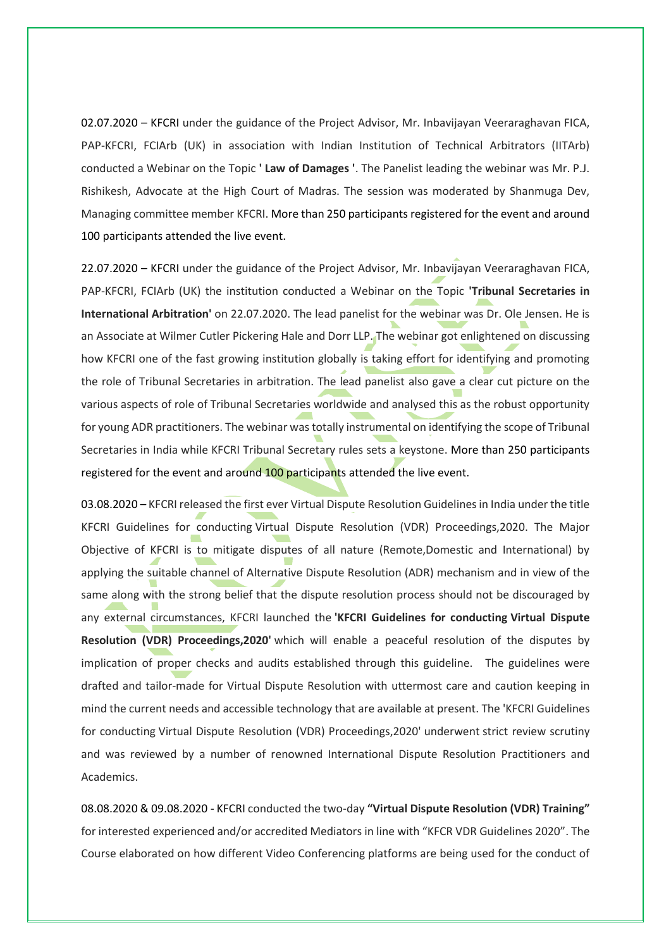02.07.2020 – KFCRI under the guidance of the Project Advisor, Mr. Inbavijayan Veeraraghavan FICA, PAP-KFCRI, FCIArb (UK) in association with Indian Institution of Technical Arbitrators (IITArb) conducted a Webinar on the Topic **' Law of Damages '**. The Panelist leading the webinar was Mr. P.J. Rishikesh, Advocate at the High Court of Madras. The session was moderated by Shanmuga Dev, Managing committee member KFCRI. More than 250 participants registered for the event and around 100 participants attended the live event.

22.07.2020 – KFCRI under the guidance of the Project Advisor, Mr. Inbavijayan Veeraraghavan FICA, PAP-KFCRI, FCIArb (UK) the institution conducted a Webinar on the Topic **'Tribunal Secretaries in International Arbitration'** on 22.07.2020. The lead panelist for the webinar was Dr. Ole Jensen. He is an Associate at Wilmer Cutler Pickering Hale and Dorr LLP. The webinar got enlightened on discussing how KFCRI one of the fast growing institution globally is taking effort for identifying and promoting the role of Tribunal Secretaries in arbitration. The lead panelist also gave a clear cut picture on the various aspects of role of Tribunal Secretaries worldwide and analysed this as the robust opportunity for young ADR practitioners. The webinar was totally instrumental on identifying the scope of Tribunal Secretaries in India while KFCRI Tribunal Secretary rules sets a keystone. More than 250 participants registered for the event and around 100 participants attended the live event.

03.08.2020 – KFCRI released the first ever Virtual Dispute Resolution Guidelines in India under the title KFCRI Guidelines for conducting Virtual Dispute Resolution (VDR) Proceedings,2020. The Major Objective of KFCRI is to mitigate disputes of all nature (Remote,Domestic and International) by applying the suitable channel of Alternative Dispute Resolution (ADR) mechanism and in view of the same along with the strong belief that the dispute resolution process should not be discouraged by any external circumstances, KFCRI launched the **'KFCRI Guidelines for conducting Virtual Dispute Resolution (VDR) Proceedings,2020'** which will enable a peaceful resolution of the disputes by implication of proper checks and audits established through this guideline. The guidelines were drafted and tailor-made for Virtual Dispute Resolution with uttermost care and caution keeping in mind the current needs and accessible technology that are available at present. The 'KFCRI Guidelines for conducting Virtual Dispute Resolution (VDR) Proceedings,2020' underwent strict review scrutiny and was reviewed by a number of renowned International Dispute Resolution Practitioners and Academics.

08.08.2020 & 09.08.2020 - KFCRI conducted the two-day **"Virtual Dispute Resolution (VDR) Training"** for interested experienced and/or accredited Mediators in line with "KFCR VDR Guidelines 2020". The Course elaborated on how different Video Conferencing platforms are being used for the conduct of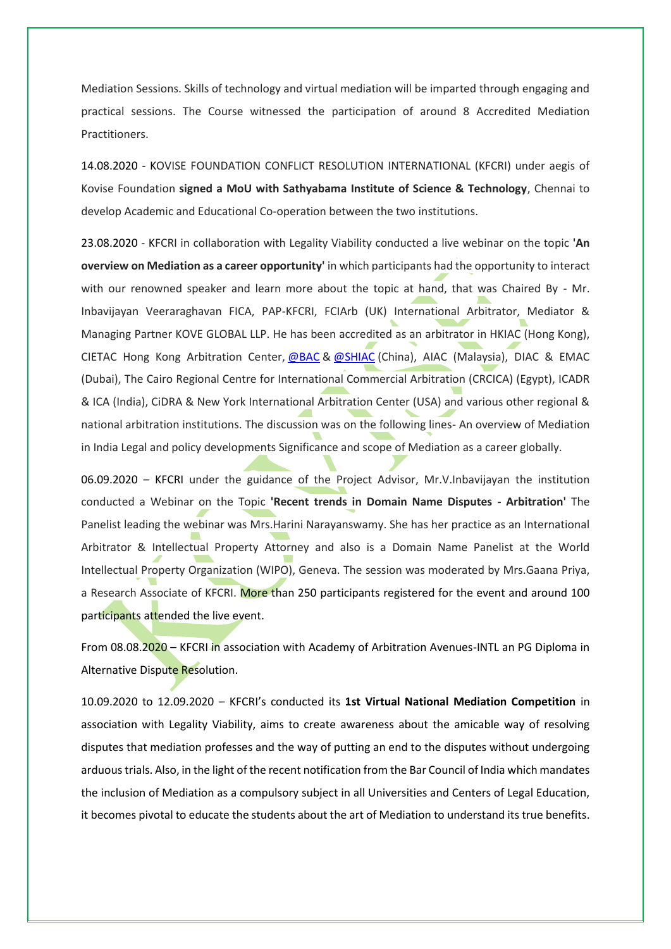Mediation Sessions. Skills of technology and virtual mediation will be imparted through engaging and practical sessions. The Course witnessed the participation of around 8 Accredited Mediation Practitioners.

14.08.2020 - KOVISE FOUNDATION CONFLICT RESOLUTION INTERNATIONAL (KFCRI) under aegis of Kovise Foundation **signed a MoU with Sathyabama Institute of Science & Technology**, Chennai to develop Academic and Educational Co-operation between the two institutions.

23.08.2020 - KFCRI in collaboration with Legality Viability conducted a live webinar on the topic **'An overview on Mediation as a career opportunity'** in which participants had the opportunity to interact with our renowned speaker and learn more about the topic at hand, that was Chaired By - Mr. Inbavijayan Veeraraghavan FICA, PAP-KFCRI, FCIArb (UK) International Arbitrator, Mediator & Managing Partner KOVE GLOBAL LLP. He has been accredited as an arbitrator in HKIAC (Hong Kong), CIETAC Hong Kong Arbitration Center, [@BAC](https://www.instagram.com/BAC/) & [@SHIAC](https://www.instagram.com/SHIAC/) (China), AIAC (Malaysia), DIAC & EMAC (Dubai), The Cairo Regional Centre for International Commercial Arbitration (CRCICA) (Egypt), ICADR & ICA (India), CiDRA & New York International Arbitration Center (USA) and various other regional & national arbitration institutions. The discussion was on the following lines- An overview of Mediation in India Legal and policy developments Significance and scope of Mediation as a career globally.

06.09.2020 – KFCRI under the guidance of the Project Advisor, Mr.V.Inbavijayan the institution conducted a Webinar on the Topic **'Recent trends in Domain Name Disputes - Arbitration'** The Panelist leading the webinar was Mrs.Harini Narayanswamy. She has her practice as an International Arbitrator & Intellectual Property Attorney and also is a Domain Name Panelist at the World Intellectual Property Organization (WIPO), Geneva. The session was moderated by Mrs.Gaana Priya, a Research Associate of KFCRI. More than 250 participants registered for the event and around 100 participants attended the live event.

From 08.08.2020 – KFCRI in association with Academy of Arbitration Avenues-INTL an PG Diploma in Alternative Dispute Resolution.

10.09.2020 to 12.09.2020 – KFCRI's conducted its **1st Virtual National Mediation Competition** in association with Legality Viability, aims to create awareness about the amicable way of resolving disputes that mediation professes and the way of putting an end to the disputes without undergoing arduous trials. Also, in the light of the recent notification from the Bar Council of India which mandates the inclusion of Mediation as a compulsory subject in all Universities and Centers of Legal Education, it becomes pivotal to educate the students about the art of Mediation to understand its true benefits.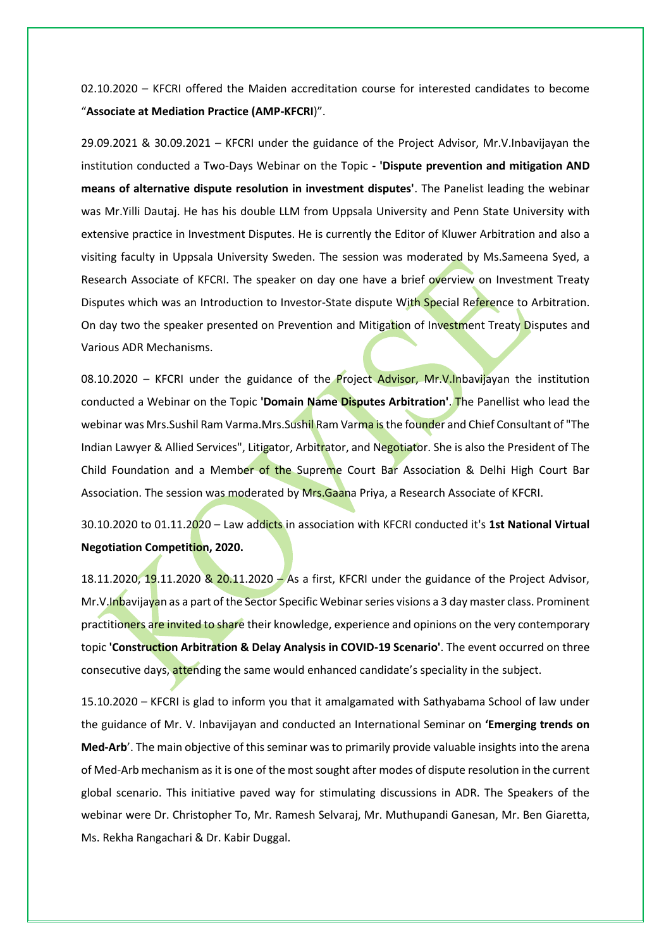02.10.2020 – KFCRI offered the Maiden accreditation course for interested candidates to become "**Associate at Mediation Practice (AMP-KFCRI**)".

29.09.2021 & 30.09.2021 – KFCRI under the guidance of the Project Advisor, Mr.V.Inbavijayan the institution conducted a Two-Days Webinar on the Topic **- 'Dispute prevention and mitigation AND means of alternative dispute resolution in investment disputes'**. The Panelist leading the webinar was Mr.Yilli Dautaj. He has his double LLM from Uppsala University and Penn State University with extensive practice in Investment Disputes. He is currently the Editor of Kluwer Arbitration and also a visiting faculty in Uppsala University Sweden. The session was moderated by Ms.Sameena Syed, a Research Associate of KFCRI. The speaker on day one have a brief overview on Investment Treaty Disputes which was an Introduction to Investor-State dispute With Special Reference to Arbitration. On day two the speaker presented on Prevention and Mitigation of Investment Treaty Disputes and Various ADR Mechanisms.

08.10.2020 – KFCRI under the guidance of the **Project Advisor, Mr.V.Inbavijayan the institution** conducted a Webinar on the Topic **'Domain Name Disputes Arbitration'**. The Panellist who lead the webinar was Mrs.Sushil Ram Varma.Mrs.Sushil Ram Varma is the founder and Chief Consultant of "The Indian Lawyer & Allied Services", Litigator, Arbitrator, and Negotiator. She is also the President of The Child Foundation and a Member of the Supreme Court Bar Association & Delhi High Court Bar Association. The session was moderated by Mrs.Gaana Priya, a Research Associate of KFCRI.

30.10.2020 to 01.11.2020 – Law addicts in association with KFCRI conducted it's **1st National Virtual Negotiation Competition, 2020.**

18.11.2020, 19.11.2020 & 20.11.2020 - As a first, KFCRI under the guidance of the Project Advisor, Mr. V. Inbavijayan as a part of the Sector Specific Webinar series visions a 3 day master class. Prominent practitioners are invited to share their knowledge, experience and opinions on the very contemporary topic **'Construction Arbitration & Delay Analysis in COVID-19 Scenario'**. The event occurred on three consecutive days, attending the same would enhanced candidate's speciality in the subject.

15.10.2020 – KFCRI is glad to inform you that it amalgamated with Sathyabama School of law under the guidance of Mr. V. Inbavijayan and conducted an International Seminar on **'Emerging trends on Med-Arb**'. The main objective of this seminar was to primarily provide valuable insights into the arena of Med-Arb mechanism as it is one of the most sought after modes of dispute resolution in the current global scenario. This initiative paved way for stimulating discussions in ADR. The Speakers of the webinar were Dr. Christopher To, Mr. Ramesh Selvaraj, Mr. Muthupandi Ganesan, Mr. Ben Giaretta, Ms. Rekha Rangachari & Dr. Kabir Duggal.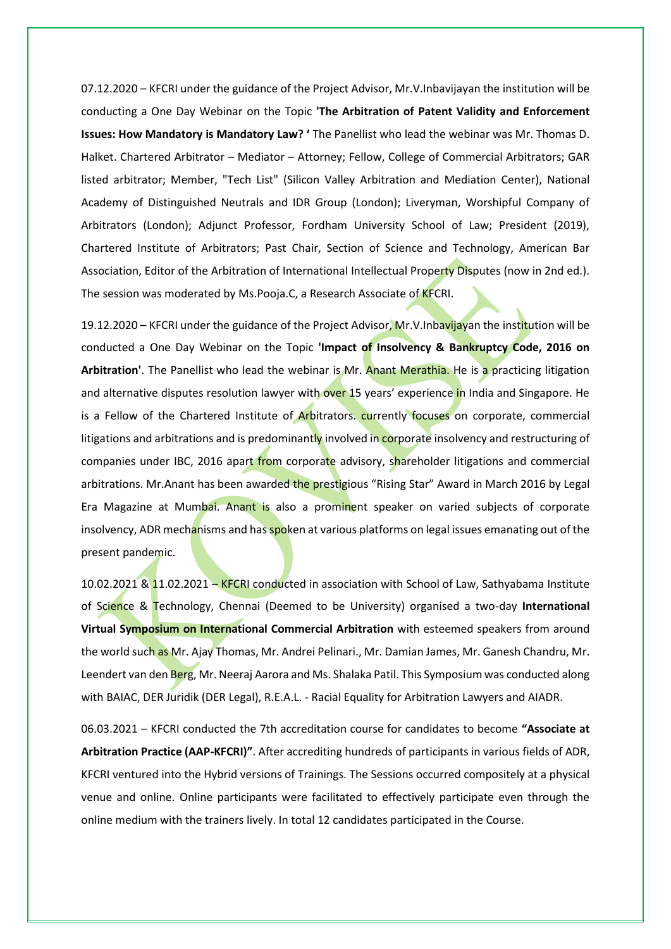07.12.2020 – KFCRI under the guidance of the Project Advisor, Mr.V.Inbavijayan the institution will be conducting a One Day Webinar on the Topic **'The Arbitration of Patent Validity and Enforcement Issues: How Mandatory is Mandatory Law? '** The Panellist who lead the webinar was Mr. Thomas D. Halket. Chartered Arbitrator – Mediator – Attorney; Fellow, College of Commercial Arbitrators; GAR listed arbitrator; Member, "Tech List" (Silicon Valley Arbitration and Mediation Center), National Academy of Distinguished Neutrals and IDR Group (London); Liveryman, Worshipful Company of Arbitrators (London); Adjunct Professor, Fordham University School of Law; President (2019), Chartered Institute of Arbitrators; Past Chair, Section of Science and Technology, American Bar Association, Editor of the Arbitration of International Intellectual Property Disputes (now in 2nd ed.). The session was moderated by Ms.Pooja.C, a Research Associate of KFCRI.

19.12.2020 – KFCRI under the guidance of the Project Advisor, Mr.V.Inbavijayan the institution will be conducted a One Day Webinar on the Topic **'Impact of Insolvency & Bankruptcy Code, 2016 on Arbitration'**. The Panellist who lead the webinar is Mr. Anant Merathia. He is a practicing litigation and alternative disputes resolution lawyer with over 15 years' experience in India and Singapore. He is a Fellow of the Chartered Institute of Arbitrators. currently focuses on corporate, commercial litigations and arbitrations and is predominantly involved in corporate insolvency and restructuring of companies under IBC, 2016 apart from corporate advisory, shareholder litigations and commercial arbitrations. Mr.Anant has been awarded the prestigious "Rising Star" Award in March 2016 by Legal Era Magazine at Mumbai. Anant is also a prominent speaker on varied subjects of corporate insolvency, ADR mechanisms and has spoken at various platforms on legal issues emanating out of the present pandemic.

10.02.2021 & 11.02.2021 – KFCRI conducted in association with School of Law, Sathyabama Institute of Science & Technology, Chennai (Deemed to be University) organised a two-day **International Virtual Symposium on International Commercial Arbitration** with esteemed speakers from around the world such as Mr. Ajay Thomas, Mr. Andrei Pelinari., Mr. Damian James, Mr. Ganesh Chandru, Mr. Leendert van den Berg, Mr. Neeraj Aarora and Ms. Shalaka Patil. This Symposium was conducted along with BAIAC, DER Juridik (DER Legal), R.E.A.L. - Racial Equality for Arbitration Lawyers and AIADR.

06.03.2021 – KFCRI conducted the 7th accreditation course for candidates to become **"Associate at Arbitration Practice (AAP-KFCRI)"**. After accrediting hundreds of participants in various fields of ADR, KFCRI ventured into the Hybrid versions of Trainings. The Sessions occurred compositely at a physical venue and online. Online participants were facilitated to effectively participate even through the online medium with the trainers lively. In total 12 candidates participated in the Course.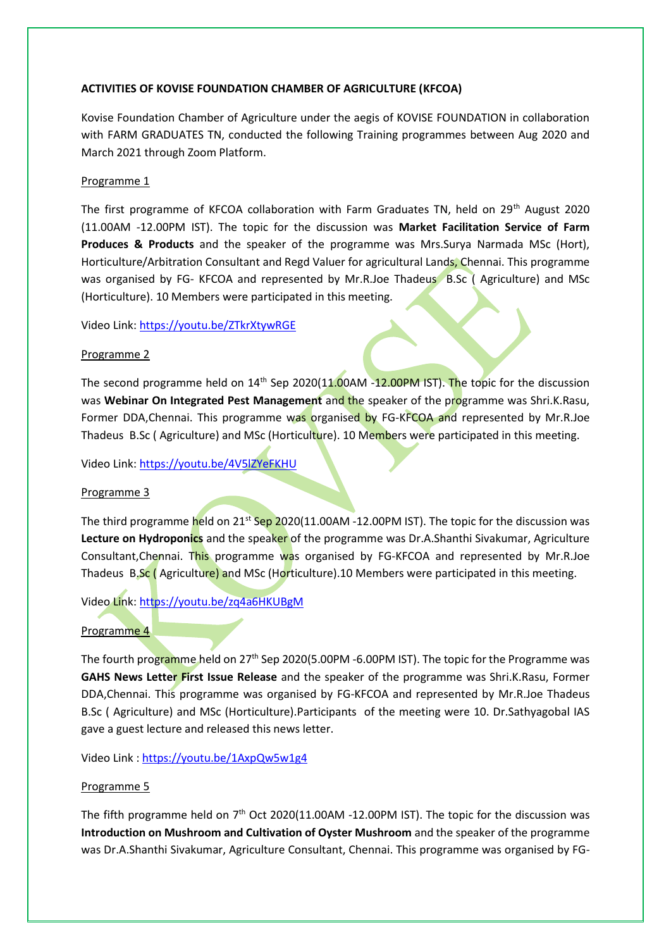#### **ACTIVITIES OF KOVISE FOUNDATION CHAMBER OF AGRICULTURE (KFCOA)**

Kovise Foundation Chamber of Agriculture under the aegis of KOVISE FOUNDATION in collaboration with FARM GRADUATES TN, conducted the following Training programmes between Aug 2020 and March 2021 through Zoom Platform.

## Programme 1

The first programme of KFCOA collaboration with Farm Graduates TN, held on 29<sup>th</sup> August 2020 (11.00AM -12.00PM IST). The topic for the discussion was **Market Facilitation Service of Farm Produces & Products** and the speaker of the programme was Mrs.Surya Narmada MSc (Hort), Horticulture/Arbitration Consultant and Regd Valuer for agricultural Lands, Chennai. This programme was organised by FG- KFCOA and represented by Mr.R.Joe Thadeus B.Sc (Agriculture) and MSc (Horticulture). 10 Members were participated in this meeting.

Video Link[: https://youtu.be/ZTkrXtywRGE](https://youtu.be/ZTkrXtywRGE)

#### Programme 2

The second programme held on  $14<sup>th</sup>$  Sep 2020(11.00AM -12.00PM IST). The topic for the discussion was **Webinar On Integrated Pest Management** and the speaker of the programme was Shri.K.Rasu, Former DDA, Chennai. This programme was organised by FG-KFCOA and represented by Mr.R.Joe Thadeus B.Sc (Agriculture) and MSc (Horticulture). 10 Members were participated in this meeting.

Video Link[: https://youtu.be/4V5lZYeFKHU](https://youtu.be/4V5lZYeFKHU)

## Programme 3

The third programme held on  $21^{st}$  Sep 2020(11.00AM -12.00PM IST). The topic for the discussion was **Lecture on Hydroponics** and the speaker of the programme was Dr.A.Shanthi Sivakumar, Agriculture Consultant, Chennai. This programme was organised by FG-KFCOA and represented by Mr.R.Joe Thadeus B.Sc (Agriculture) and MSc (Horticulture).10 Members were participated in this meeting.

Video Link[: https://youtu.be/zq4a6HKUBgM](https://youtu.be/zq4a6HKUBgM)

## Programme 4

The fourth programme held on 27<sup>th</sup> Sep 2020(5.00PM -6.00PM IST). The topic for the Programme was **GAHS News Letter First Issue Release** and the speaker of the programme was Shri.K.Rasu, Former DDA,Chennai. This programme was organised by FG-KFCOA and represented by Mr.R.Joe Thadeus B.Sc ( Agriculture) and MSc (Horticulture).Participants of the meeting were 10. Dr.Sathyagobal IAS gave a guest lecture and released this news letter.

Video Link :<https://youtu.be/1AxpQw5w1g4>

#### Programme 5

The fifth programme held on  $7<sup>th</sup>$  Oct 2020(11.00AM -12.00PM IST). The topic for the discussion was **Introduction on Mushroom and Cultivation of Oyster Mushroom** and the speaker of the programme was Dr.A.Shanthi Sivakumar, Agriculture Consultant, Chennai. This programme was organised by FG-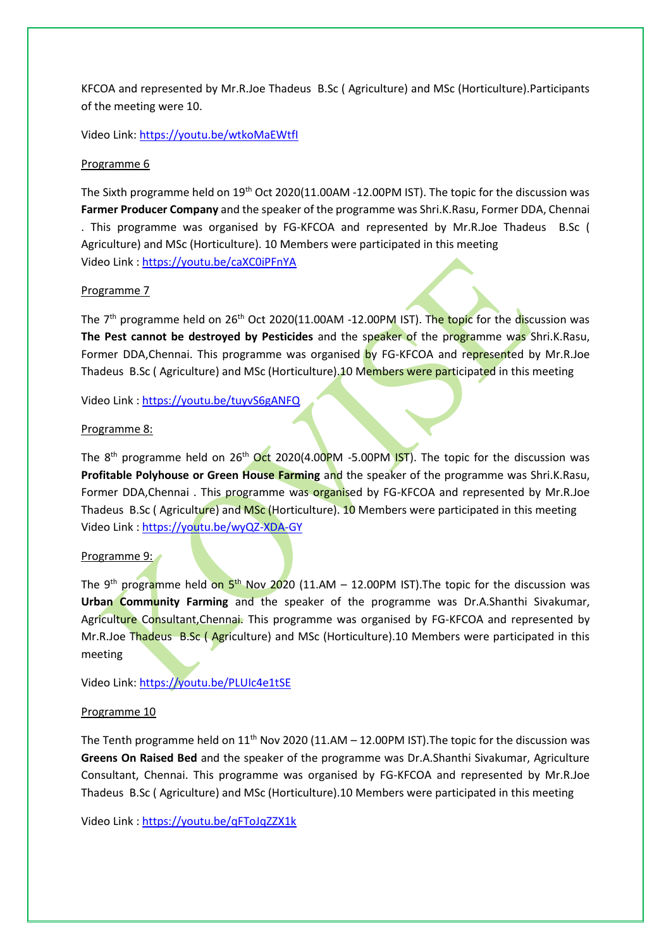KFCOA and represented by Mr.R.Joe Thadeus B.Sc ( Agriculture) and MSc (Horticulture).Participants of the meeting were 10.

Video Link[: https://youtu.be/wtkoMaEWtfI](https://youtu.be/wtkoMaEWtfI)

#### Programme 6

The Sixth programme held on 19<sup>th</sup> Oct 2020(11.00AM -12.00PM IST). The topic for the discussion was **Farmer Producer Company** and the speaker of the programme was Shri.K.Rasu, Former DDA, Chennai . This programme was organised by FG-KFCOA and represented by Mr.R.Joe Thadeus B.Sc ( Agriculture) and MSc (Horticulture). 10 Members were participated in this meeting Video Link :<https://youtu.be/caXC0iPFnYA>

#### Programme 7

The 7<sup>th</sup> programme held on 26<sup>th</sup> Oct 2020(11.00AM -12.00PM IST). The topic for the discussion was **The Pest cannot be destroyed by Pesticides** and the speaker of the programme was Shri.K.Rasu, Former DDA, Chennai. This programme was organised by FG-KFCOA and represented by Mr.R.Joe Thadeus B.Sc (Agriculture) and MSc (Horticulture). 10 Members were participated in this meeting

Video Link :<https://youtu.be/tuyvS6gANFQ>

#### Programme 8:

The 8<sup>th</sup> programme held on 26<sup>th</sup> Oct 2020(4.00PM -5.00PM IST). The topic for the discussion was **Profitable Polyhouse or Green House Farming** and the speaker of the programme was Shri.K.Rasu, Former DDA, Chennai . This programme was organised by FG-KFCOA and represented by Mr.R.Joe Thadeus B.Sc (Agriculture) and MSc (Horticulture). 10 Members were participated in this meeting Video Link :<https://youtu.be/wyQZ-XDA-GY>

## Programme 9:

The 9<sup>th</sup> programme held on 5<sup>th</sup> Nov 2020 (11.AM – 12.00PM IST). The topic for the discussion was **Urban Community Farming** and the speaker of the programme was Dr.A.Shanthi Sivakumar, Agriculture Consultant, Chennai. This programme was organised by FG-KFCOA and represented by Mr.R.Joe Thadeus B.Sc ( Agriculture) and MSc (Horticulture).10 Members were participated in this meeting

Video Link[: https://youtu.be/PLUIc4e1tSE](https://youtu.be/PLUIc4e1tSE)

#### Programme 10

The Tenth programme held on  $11<sup>th</sup>$  Nov 2020 (11.AM – 12.00PM IST). The topic for the discussion was **Greens On Raised Bed** and the speaker of the programme was Dr.A.Shanthi Sivakumar, Agriculture Consultant, Chennai. This programme was organised by FG-KFCOA and represented by Mr.R.Joe Thadeus B.Sc ( Agriculture) and MSc (Horticulture).10 Members were participated in this meeting

Video Link :<https://youtu.be/qFToJqZZX1k>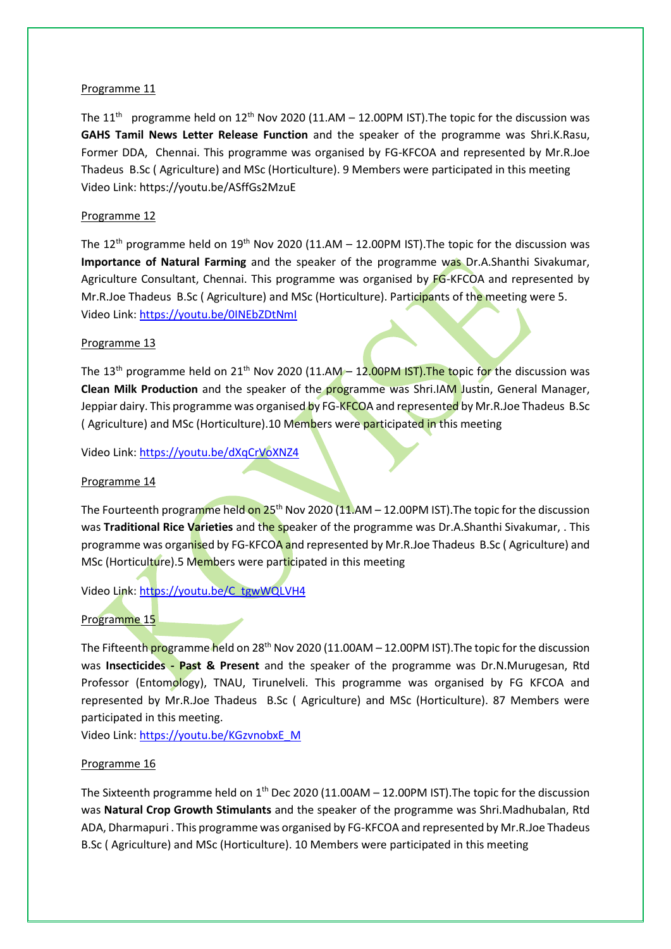### Programme 11

The 11<sup>th</sup> programme held on 12<sup>th</sup> Nov 2020 (11.AM – 12.00PM IST). The topic for the discussion was **GAHS Tamil News Letter Release Function** and the speaker of the programme was Shri.K.Rasu, Former DDA, Chennai. This programme was organised by FG-KFCOA and represented by Mr.R.Joe Thadeus B.Sc ( Agriculture) and MSc (Horticulture). 9 Members were participated in this meeting Video Link: https://youtu.be/ASffGs2MzuE

## Programme 12

The 12<sup>th</sup> programme held on 19<sup>th</sup> Nov 2020 (11.AM – 12.00PM IST). The topic for the discussion was **Importance of Natural Farming** and the speaker of the programme was Dr.A.Shanthi Sivakumar, Agriculture Consultant, Chennai. This programme was organised by FG-KFCOA and represented by Mr.R.Joe Thadeus B.Sc (Agriculture) and MSc (Horticulture). Participants of the meeting were 5. Video Link[: https://youtu.be/0INEbZDtNmI](https://youtu.be/0INEbZDtNmI)

## Programme 13

The 13<sup>th</sup> programme held on 21<sup>th</sup> Nov 2020 (11.AM – 12.00PM IST). The topic for the discussion was **Clean Milk Production** and the speaker of the programme was Shri.IAM Justin, General Manager, Jeppiar dairy. This programme was organised by FG-KFCOA and represented by Mr.R.Joe Thadeus B.Sc ( Agriculture) and MSc (Horticulture).10 Members were participated in this meeting

Video Link[: https://youtu.be/dXqCrVoXNZ4](https://youtu.be/dXqCrVoXNZ4)

## Programme 14

The Fourteenth programme held on  $25<sup>th</sup>$  Nov 2020 (11.AM – 12.00PM IST). The topic for the discussion was **Traditional Rice Varieties** and the speaker of the programme was Dr.A.Shanthi Sivakumar, . This programme was organised by FG-KFCOA and represented by Mr.R.Joe Thadeus B.Sc (Agriculture) and MSc (Horticulture).5 Members were participated in this meeting

Video Link[: https://youtu.be/C\\_tgwWQLVH4](https://youtu.be/C_tgwWQLVH4)

## Programme 15

The Fifteenth programme held on 28<sup>th</sup> Nov 2020 (11.00AM – 12.00PM IST). The topic for the discussion was **Insecticides - Past & Present** and the speaker of the programme was Dr.N.Murugesan, Rtd Professor (Entomology), TNAU, Tirunelveli. This programme was organised by FG KFCOA and represented by Mr.R.Joe Thadeus B.Sc ( Agriculture) and MSc (Horticulture). 87 Members were participated in this meeting.

Video Link[: https://youtu.be/KGzvnobxE\\_M](https://youtu.be/KGzvnobxE_M)

#### Programme 16

The Sixteenth programme held on  $1<sup>th</sup>$  Dec 2020 (11.00AM – 12.00PM IST). The topic for the discussion was **Natural Crop Growth Stimulants** and the speaker of the programme was Shri.Madhubalan, Rtd ADA, Dharmapuri . This programme was organised by FG-KFCOA and represented by Mr.R.Joe Thadeus B.Sc ( Agriculture) and MSc (Horticulture). 10 Members were participated in this meeting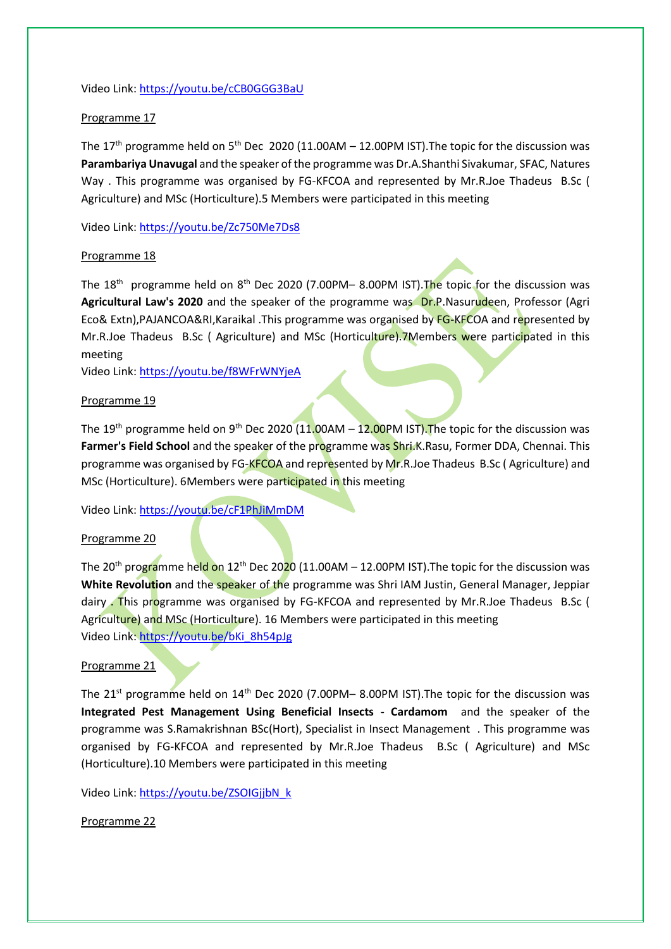Video Link[: https://youtu.be/cCB0GGG3BaU](https://youtu.be/cCB0GGG3BaU)

# Programme 17

The 17<sup>th</sup> programme held on 5<sup>th</sup> Dec 2020 (11.00AM – 12.00PM IST). The topic for the discussion was **Parambariya Unavugal** and the speaker of the programme was Dr.A.Shanthi Sivakumar, SFAC, Natures Way . This programme was organised by FG-KFCOA and represented by Mr.R.Joe Thadeus B.Sc ( Agriculture) and MSc (Horticulture).5 Members were participated in this meeting

Video Link[: https://youtu.be/Zc750Me7Ds8](https://youtu.be/Zc750Me7Ds8)

# Programme 18

The 18<sup>th</sup> programme held on 8<sup>th</sup> Dec 2020 (7.00PM– 8.00PM IST). The topic for the discussion was Agricultural Law's 2020 and the speaker of the programme was Dr.P.Nasurudeen, Professor (Agri Eco& Extn),PAJANCOA&RI,Karaikal .This programme was organised by FG-KFCOA and represented by Mr.R.Joe Thadeus B.Sc ( Agriculture) and MSc (Horticulture).7Members were participated in this meeting

Video Link[: https://youtu.be/f8WFrWNYjeA](https://youtu.be/f8WFrWNYjeA)

## Programme 19

The 19<sup>th</sup> programme held on 9<sup>th</sup> Dec 2020 (11.00AM – 12.00PM IST). The topic for the discussion was **Farmer's Field School** and the speaker of the programme was Shri.K.Rasu, Former DDA, Chennai. This programme was organised by FG-KFCOA and represented by Mr.R.Joe Thadeus B.Sc (Agriculture) and MSc (Horticulture). 6Members were participated in this meeting

Video Link[: https://youtu.be/cF1PhJiMmDM](https://youtu.be/cF1PhJiMmDM)

## Programme 20

The 20<sup>th</sup> programme held on 12<sup>th</sup> Dec 2020 (11.00AM – 12.00PM IST). The topic for the discussion was **White Revolution** and the speaker of the programme was Shri IAM Justin, General Manager, Jeppiar dairy . This programme was organised by FG-KFCOA and represented by Mr.R.Joe Thadeus B.Sc ( Agriculture) and MSc (Horticulture). 16 Members were participated in this meeting Video Link[: https://youtu.be/bKi\\_8h54pJg](https://youtu.be/bKi_8h54pJg)

## Programme 21

The 21<sup>st</sup> programme held on 14<sup>th</sup> Dec 2020 (7.00PM– 8.00PM IST). The topic for the discussion was **Integrated Pest Management Using Beneficial Insects - Cardamom** and the speaker of the programme was S.Ramakrishnan BSc(Hort), Specialist in Insect Management . This programme was organised by FG-KFCOA and represented by Mr.R.Joe Thadeus B.Sc ( Agriculture) and MSc (Horticulture).10 Members were participated in this meeting

Video Link[: https://youtu.be/ZSOIGjjbN\\_k](https://youtu.be/ZSOIGjjbN_k)

Programme 22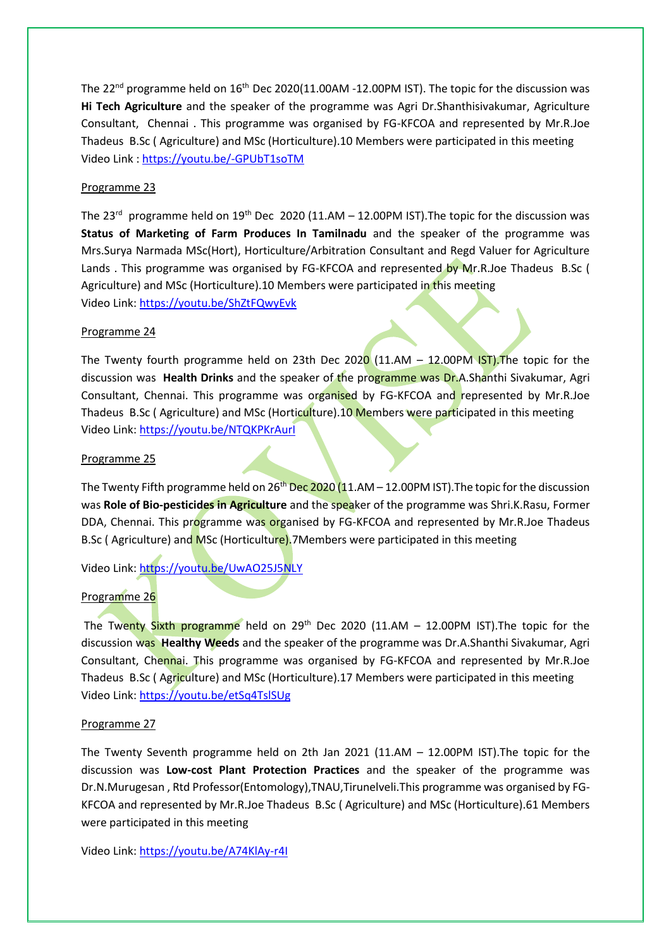The 22<sup>nd</sup> programme held on 16<sup>th</sup> Dec 2020(11.00AM -12.00PM IST). The topic for the discussion was **Hi Tech Agriculture** and the speaker of the programme was Agri Dr.Shanthisivakumar, Agriculture Consultant, Chennai . This programme was organised by FG-KFCOA and represented by Mr.R.Joe Thadeus B.Sc ( Agriculture) and MSc (Horticulture).10 Members were participated in this meeting Video Link :<https://youtu.be/-GPUbT1soTM>

# Programme 23

The 23<sup>rd</sup> programme held on 19<sup>th</sup> Dec 2020 (11.AM – 12.00PM IST). The topic for the discussion was **Status of Marketing of Farm Produces In Tamilnadu** and the speaker of the programme was Mrs.Surya Narmada MSc(Hort), Horticulture/Arbitration Consultant and Regd Valuer for Agriculture Lands . This programme was organised by FG-KFCOA and represented by Mr.R.Joe Thadeus B.Sc ( Agriculture) and MSc (Horticulture).10 Members were participated in this meeting Video Link[: https://youtu.be/ShZtFQwyEvk](https://youtu.be/ShZtFQwyEvk)

## Programme 24

The Twenty fourth programme held on 23th Dec 2020 (11.AM  $-$  12.00PM IST). The topic for the discussion was **Health Drinks** and the speaker of the programme was Dr.A.Shanthi Sivakumar, Agri Consultant, Chennai. This programme was organised by FG-KFCOA and represented by Mr.R.Joe Thadeus B.Sc (Agriculture) and MSc (Horticulture).10 Members were participated in this meeting Video Link[: https://youtu.be/NTQKPKrAurI](https://youtu.be/NTQKPKrAurI)

## Programme 25

The Twenty Fifth programme held on  $26<sup>th</sup>$  Dec 2020 (11.AM – 12.00PM IST). The topic for the discussion was **Role of Bio-pesticides in Agriculture** and the speaker of the programme was Shri.K.Rasu, Former DDA, Chennai. This programme was organised by FG-KFCOA and represented by Mr.R.Joe Thadeus B.Sc (Agriculture) and MSc (Horticulture).7Members were participated in this meeting

Video Link[: https://youtu.be/UwAO25J5NLY](https://youtu.be/UwAO25J5NLY)

# Programme 26

The Twenty Sixth programme held on 29<sup>th</sup> Dec 2020 (11.AM  $-$  12.00PM IST). The topic for the discussion was **Healthy Weeds** and the speaker of the programme was Dr.A.Shanthi Sivakumar, Agri Consultant, Chennai. This programme was organised by FG-KFCOA and represented by Mr.R.Joe Thadeus B.Sc ( Agriculture) and MSc (Horticulture).17 Members were participated in this meeting Video Link[: https://youtu.be/etSq4TslSUg](https://youtu.be/etSq4TslSUg)

## Programme 27

The Twenty Seventh programme held on 2th Jan 2021 (11.AM  $-$  12.00PM IST). The topic for the discussion was **Low-cost Plant Protection Practices** and the speaker of the programme was Dr.N.Murugesan , Rtd Professor(Entomology),TNAU,Tirunelveli.This programme was organised by FG-KFCOA and represented by Mr.R.Joe Thadeus B.Sc ( Agriculture) and MSc (Horticulture).61 Members were participated in this meeting

Video Link[: https://youtu.be/A74KlAy-r4I](https://youtu.be/A74KlAy-r4I)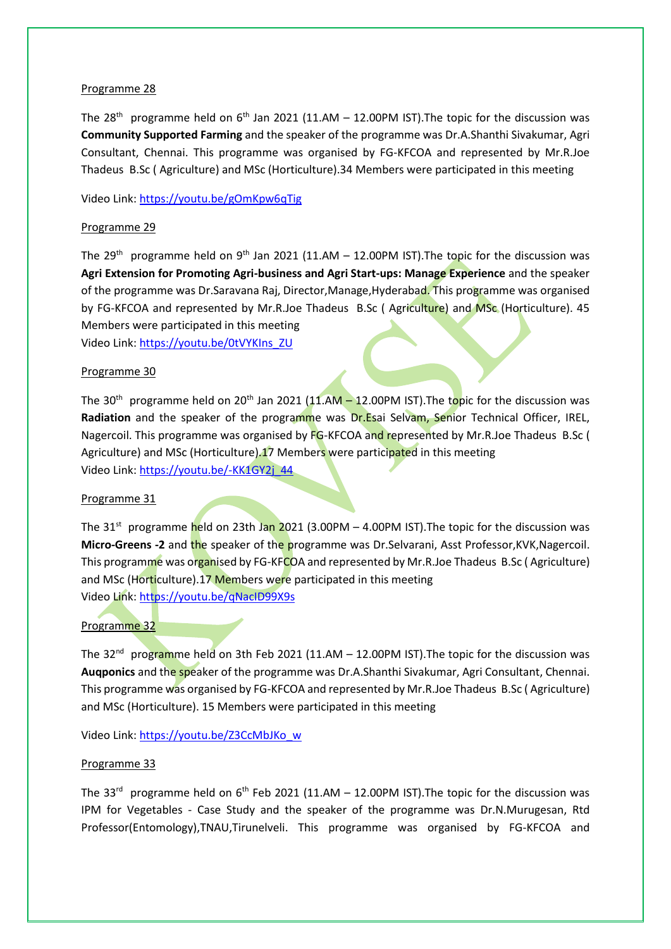## Programme 28

The 28<sup>th</sup> programme held on 6<sup>th</sup> Jan 2021 (11.AM – 12.00PM IST). The topic for the discussion was **Community Supported Farming** and the speaker of the programme was Dr.A.Shanthi Sivakumar, Agri Consultant, Chennai. This programme was organised by FG-KFCOA and represented by Mr.R.Joe Thadeus B.Sc ( Agriculture) and MSc (Horticulture).34 Members were participated in this meeting

Video Link[: https://youtu.be/gOmKpw6qTig](https://youtu.be/gOmKpw6qTig)

# Programme 29

The 29<sup>th</sup> programme held on 9<sup>th</sup> Jan 2021 (11.AM – 12.00PM IST). The topic for the discussion was **Agri Extension for Promoting Agri-business and Agri Start-ups: Manage Experience** and the speaker of the programme was Dr.Saravana Raj, Director,Manage,Hyderabad. This programme was organised by FG-KFCOA and represented by Mr.R.Joe Thadeus B.Sc (Agriculture) and MSc (Horticulture). 45 Members were participated in this meeting

Video Link[: https://youtu.be/0tVYKIns\\_ZU](https://youtu.be/0tVYKIns_ZU)

# Programme 30

The 30<sup>th</sup> programme held on 20<sup>th</sup> Jan 2021 (11.AM – 12.00PM IST).The topic for the discussion was **Radiation** and the speaker of the programme was Dr.Esai Selvam, Senior Technical Officer, IREL, Nagercoil. This programme was organised by FG-KFCOA and represented by Mr.R.Joe Thadeus B.Sc ( Agriculture) and MSc (Horticulture).17 Members were participated in this meeting Video Link: [https://youtu.be/-KK1GY2j\\_44](https://youtu.be/-KK1GY2j_44)

## Programme 31

The 31<sup>st</sup> programme held on 23th Jan 2021 (3.00PM – 4.00PM IST). The topic for the discussion was **Micro-Greens -2** and the speaker of the programme was Dr.Selvarani, Asst Professor,KVK,Nagercoil. This programme was organised by FG-KFCOA and represented by Mr.R.Joe Thadeus B.Sc ( Agriculture) and MSc (Horticulture).17 Members were participated in this meeting Video Link[: https://youtu.be/qNacID99X9s](https://youtu.be/qNacID99X9s)

# Programme 32

The 32<sup>nd</sup> programme held on 3th Feb 2021 (11.AM – 12.00PM IST).The topic for the discussion was **Auqponics** and the speaker of the programme was Dr.A.Shanthi Sivakumar, Agri Consultant, Chennai. This programme was organised by FG-KFCOA and represented by Mr.R.Joe Thadeus B.Sc ( Agriculture) and MSc (Horticulture). 15 Members were participated in this meeting

Video Link[: https://youtu.be/Z3CcMbJKo\\_w](https://youtu.be/Z3CcMbJKo_w)

## Programme 33

The 33<sup>rd</sup> programme held on  $6<sup>th</sup>$  Feb 2021 (11.AM – 12.00PM IST). The topic for the discussion was IPM for Vegetables - Case Study and the speaker of the programme was Dr.N.Murugesan, Rtd Professor(Entomology),TNAU,Tirunelveli. This programme was organised by FG-KFCOA and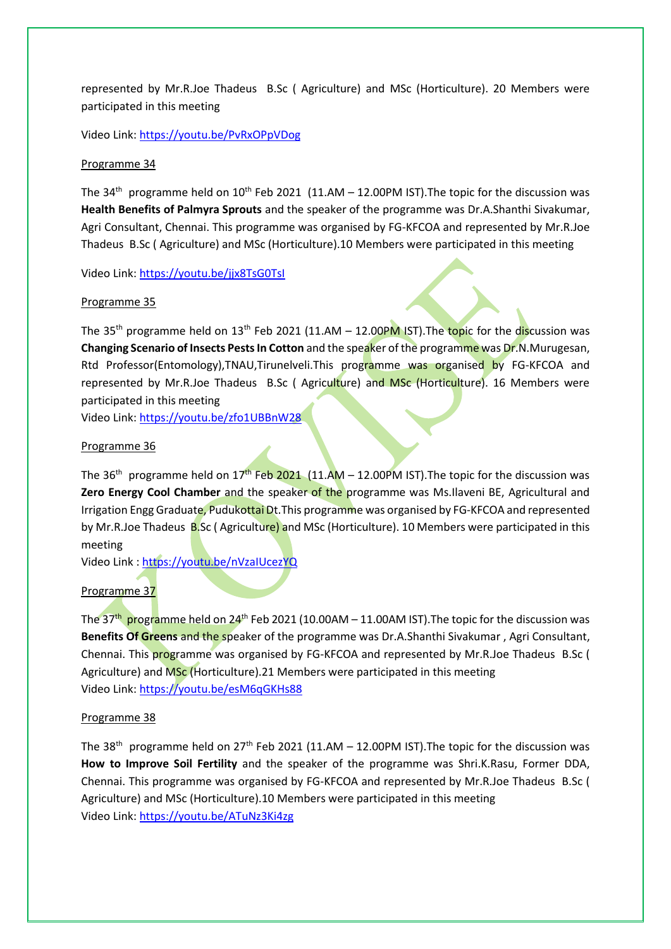represented by Mr.R.Joe Thadeus B.Sc ( Agriculture) and MSc (Horticulture). 20 Members were participated in this meeting

Video Link[: https://youtu.be/PvRxOPpVDog](https://youtu.be/PvRxOPpVDog)

## Programme 34

The 34<sup>th</sup> programme held on  $10^{th}$  Feb 2021 (11.AM – 12.00PM IST). The topic for the discussion was **Health Benefits of Palmyra Sprouts** and the speaker of the programme was Dr.A.Shanthi Sivakumar, Agri Consultant, Chennai. This programme was organised by FG-KFCOA and represented by Mr.R.Joe Thadeus B.Sc ( Agriculture) and MSc (Horticulture).10 Members were participated in this meeting

Video Link[: https://youtu.be/jjx8TsG0TsI](https://youtu.be/jjx8TsG0TsI)

# Programme 35

The 35<sup>th</sup> programme held on 13<sup>th</sup> Feb 2021 (11.AM – 12.00PM IST). The topic for the discussion was **Changing Scenario of Insects Pests In Cotton** and the speaker of the programme was Dr.N.Murugesan, Rtd Professor(Entomology),TNAU,Tirunelveli.This programme was organised by FG-KFCOA and represented by Mr.R.Joe Thadeus B.Sc (Agriculture) and MSc (Horticulture). 16 Members were participated in this meeting

Video Link[: https://youtu.be/zfo1UBBnW28](https://youtu.be/zfo1UBBnW28)

# Programme 36

The 36<sup>th</sup> programme held on 17<sup>th</sup> Feb 2021 (11.AM – 12.00PM IST). The topic for the discussion was **Zero Energy Cool Chamber** and the speaker of the programme was Ms.Ilaveni BE, Agricultural and Irrigation Engg Graduate, Pudukottai Dt. This programme was organised by FG-KFCOA and represented by Mr.R.Joe Thadeus B.Sc (Agriculture) and MSc (Horticulture). 10 Members were participated in this meeting

Video Link :<https://youtu.be/nVzaIUcezYQ>

# Programme 37

The 37<sup>th</sup> programme held on 24<sup>th</sup> Feb 2021 (10.00AM – 11.00AM IST).The topic for the discussion was **Benefits Of Greens** and the speaker of the programme was Dr.A.Shanthi Sivakumar , Agri Consultant, Chennai. This programme was organised by FG-KFCOA and represented by Mr.R.Joe Thadeus B.Sc ( Agriculture) and MSc (Horticulture).21 Members were participated in this meeting Video Link[: https://youtu.be/esM6qGKHs88](https://youtu.be/esM6qGKHs88)

## Programme 38

The 38<sup>th</sup> programme held on 27<sup>th</sup> Feb 2021 (11.AM – 12.00PM IST). The topic for the discussion was **How to Improve Soil Fertility** and the speaker of the programme was Shri.K.Rasu, Former DDA, Chennai. This programme was organised by FG-KFCOA and represented by Mr.R.Joe Thadeus B.Sc ( Agriculture) and MSc (Horticulture).10 Members were participated in this meeting Video Link[: https://youtu.be/ATuNz3Ki4zg](https://youtu.be/ATuNz3Ki4zg)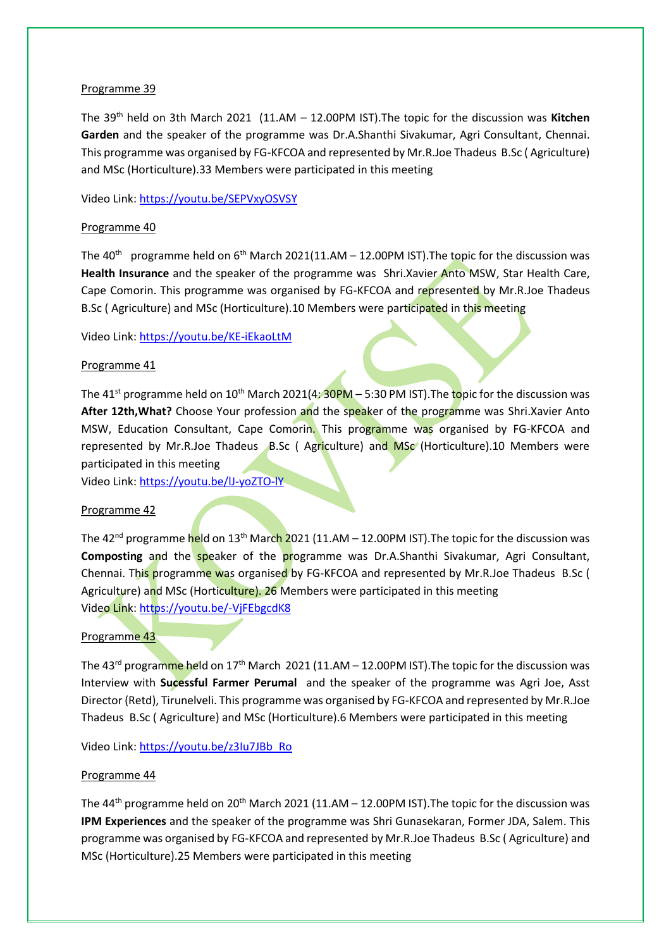## Programme 39

The 39th held on 3th March 2021 (11.AM – 12.00PM IST).The topic for the discussion was **Kitchen Garden** and the speaker of the programme was Dr.A.Shanthi Sivakumar, Agri Consultant, Chennai. This programme was organised by FG-KFCOA and represented by Mr.R.Joe Thadeus B.Sc ( Agriculture) and MSc (Horticulture).33 Members were participated in this meeting

Video Link[: https://youtu.be/SEPVxyOSVSY](https://youtu.be/SEPVxyOSVSY)

# Programme 40

The 40<sup>th</sup> programme held on 6<sup>th</sup> March 2021(11.AM – 12.00PM IST). The topic for the discussion was **Health Insurance** and the speaker of the programme was Shri.Xavier Anto MSW, Star Health Care, Cape Comorin. This programme was organised by FG-KFCOA and represented by Mr.R.Joe Thadeus B.Sc ( Agriculture) and MSc (Horticulture).10 Members were participated in this meeting

Video Link[: https://youtu.be/KE-iEkaoLtM](https://youtu.be/KE-iEkaoLtM)

# Programme 41

The 41<sup>st</sup> programme held on 10<sup>th</sup> March 2021(4:  $30PM - 5:30 PM$  IST). The topic for the discussion was After 12th, What? Choose Your profession and the speaker of the programme was Shri.Xavier Anto MSW, Education Consultant, Cape Comorin. This programme was organised by FG-KFCOA and represented by Mr.R.Joe Thadeus B.Sc ( Agriculture) and MSc (Horticulture).10 Members were participated in this meeting

Video Link[: https://youtu.be/lJ-yoZTO-lY](https://youtu.be/lJ-yoZTO-lY)

# Programme 42

The 42<sup>nd</sup> programme held on 13<sup>th</sup> March 2021 (11.AM – 12.00PM IST). The topic for the discussion was **Composting** and the speaker of the programme was Dr.A.Shanthi Sivakumar, Agri Consultant, Chennai. This programme was organised by FG-KFCOA and represented by Mr.R.Joe Thadeus B.Sc ( Agriculture) and MSc (Horticulture). 26 Members were participated in this meeting Video Link[: https://youtu.be/-VjFEbgcdK8](https://youtu.be/-VjFEbgcdK8)

## Programme 43

The 43<sup>rd</sup> programme held on 17<sup>th</sup> March 2021 (11.AM – 12.00PM IST). The topic for the discussion was Interview with **Sucessful Farmer Perumal** and the speaker of the programme was Agri Joe, Asst Director (Retd), Tirunelveli. This programme was organised by FG-KFCOA and represented by Mr.R.Joe Thadeus B.Sc ( Agriculture) and MSc (Horticulture).6 Members were participated in this meeting

Video Link[: https://youtu.be/z3Iu7JBb\\_Ro](https://youtu.be/z3Iu7JBb_Ro)

## Programme 44

The  $44<sup>th</sup>$  programme held on  $20<sup>th</sup>$  March 2021 (11.AM – 12.00PM IST). The topic for the discussion was **IPM Experiences** and the speaker of the programme was Shri Gunasekaran, Former JDA, Salem. This programme was organised by FG-KFCOA and represented by Mr.R.Joe Thadeus B.Sc ( Agriculture) and MSc (Horticulture).25 Members were participated in this meeting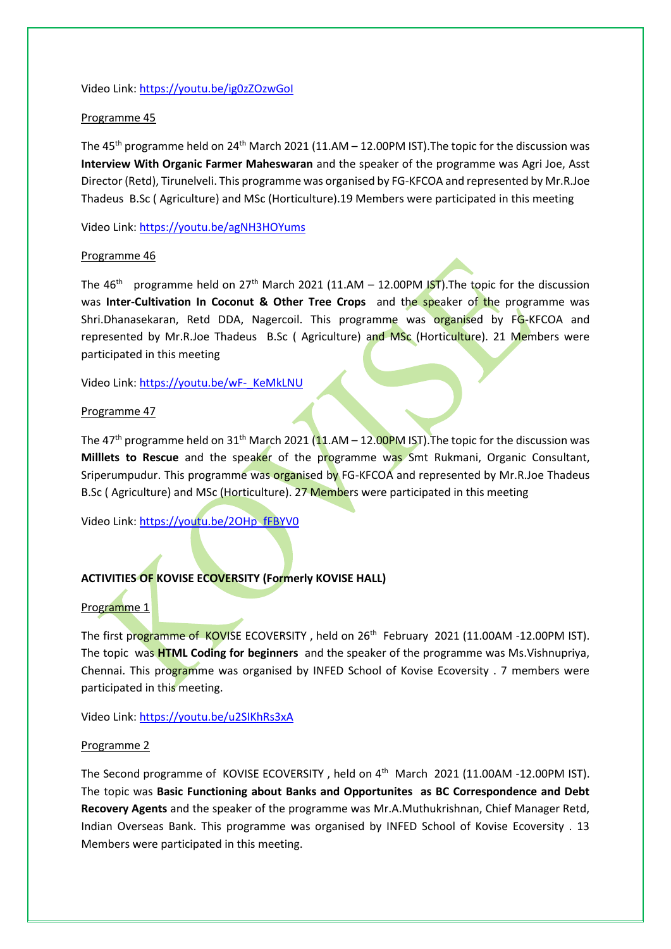#### Video Link[: https://youtu.be/ig0zZOzwGoI](https://youtu.be/ig0zZOzwGoI)

### Programme 45

The 45<sup>th</sup> programme held on 24<sup>th</sup> March 2021 (11.AM – 12.00PM IST). The topic for the discussion was **Interview With Organic Farmer Maheswaran** and the speaker of the programme was Agri Joe, Asst Director (Retd), Tirunelveli. This programme was organised by FG-KFCOA and represented by Mr.R.Joe Thadeus B.Sc ( Agriculture) and MSc (Horticulture).19 Members were participated in this meeting

Video Link[: https://youtu.be/agNH3HOYums](https://youtu.be/agNH3HOYums)

#### Programme 46

The 46<sup>th</sup> programme held on 27<sup>th</sup> March 2021 (11.AM – 12.00PM IST). The topic for the discussion was **Inter-Cultivation In Coconut & Other Tree Crops** and the speaker of the programme was Shri.Dhanasekaran, Retd DDA, Nagercoil. This programme was organised by FG-KFCOA and represented by Mr.R.Joe Thadeus B.Sc ( Agriculture) and MSc (Horticulture). 21 Members were participated in this meeting

Video Link[: https://youtu.be/wF-\\_KeMkLNU](https://youtu.be/wF-_KeMkLNU)

#### Programme 47

The 47<sup>th</sup> programme held on 31<sup>th</sup> March 2021 (11.AM – 12.00PM IST). The topic for the discussion was **Milllets to Rescue** and the speaker of the programme was Smt Rukmani, Organic Consultant, Sriperumpudur. This programme was organised by FG-KFCOA and represented by Mr.R.Joe Thadeus B.Sc (Agriculture) and MSc (Horticulture). 27 Members were participated in this meeting

Video Link[: https://youtu.be/2OHp\\_fFBYV0](https://youtu.be/2OHp_fFBYV0)

## **ACTIVITIES OF KOVISE ECOVERSITY (Formerly KOVISE HALL)**

## Programme 1

The first programme of KOVISE ECOVERSITY, held on 26<sup>th</sup> February 2021 (11.00AM -12.00PM IST). The topic was **HTML Coding for beginners** and the speaker of the programme was Ms.Vishnupriya, Chennai. This programme was organised by INFED School of Kovise Ecoversity . 7 members were participated in this meeting.

Video Link[: https://youtu.be/u2SIKhRs3xA](https://youtu.be/u2SIKhRs3xA)

#### Programme 2

The Second programme of KOVISE ECOVERSITY, held on 4<sup>th</sup> March 2021 (11.00AM -12.00PM IST). The topic was **Basic Functioning about Banks and Opportunites as BC Correspondence and Debt Recovery Agents** and the speaker of the programme was Mr.A.Muthukrishnan, Chief Manager Retd, Indian Overseas Bank. This programme was organised by INFED School of Kovise Ecoversity . 13 Members were participated in this meeting.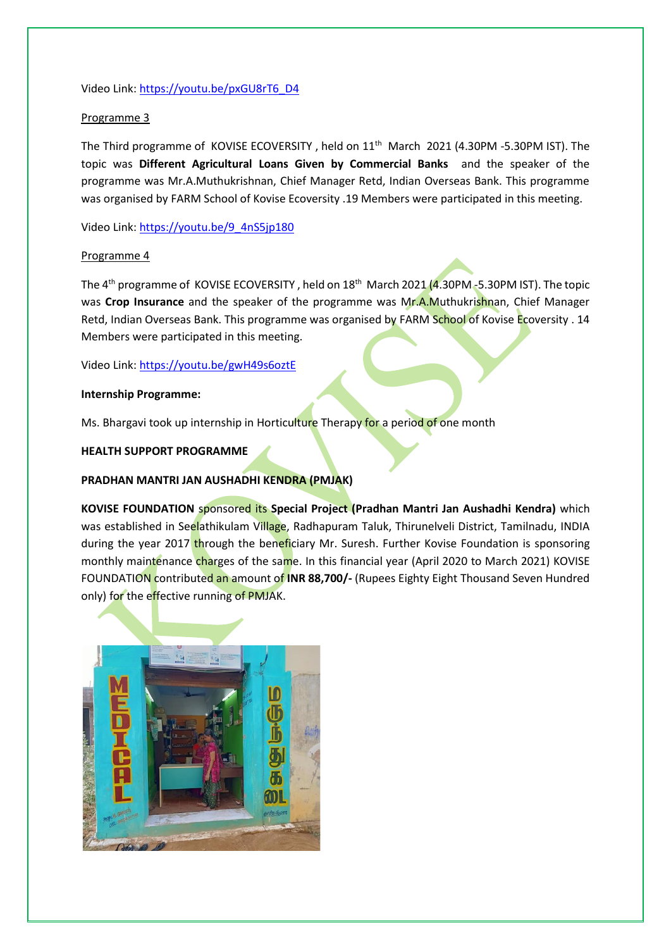Video Link[: https://youtu.be/pxGU8rT6\\_D4](https://youtu.be/pxGU8rT6_D4)

## Programme 3

The Third programme of KOVISE ECOVERSITY, held on 11<sup>th</sup> March 2021 (4.30PM -5.30PM IST). The topic was **Different Agricultural Loans Given by Commercial Banks** and the speaker of the programme was Mr.A.Muthukrishnan, Chief Manager Retd, Indian Overseas Bank. This programme was organised by FARM School of Kovise Ecoversity .19 Members were participated in this meeting.

Video Link[: https://youtu.be/9\\_4nS5jp180](https://youtu.be/9_4nS5jp180)

## Programme 4

The 4<sup>th</sup> programme of KOVISE ECOVERSITY, held on 18<sup>th</sup> March 2021 (4.30PM -5.30PM IST). The topic was **Crop Insurance** and the speaker of the programme was Mr.A.Muthukrishnan, Chief Manager Retd, Indian Overseas Bank. This programme was organised by FARM School of Kovise Ecoversity . 14 Members were participated in this meeting.

Video Link[: https://youtu.be/gwH49s6oztE](https://youtu.be/gwH49s6oztE)

## **Internship Programme:**

Ms. Bhargavi took up internship in Horticulture Therapy for a period of one month

# **HEALTH SUPPORT PROGRAMME**

# **PRADHAN MANTRI JAN AUSHADHI KENDRA (PMJAK)**

**KOVISE FOUNDATION** sponsored its **Special Project (Pradhan Mantri Jan Aushadhi Kendra)** which was established in Seelathikulam Village, Radhapuram Taluk, Thirunelveli District, Tamilnadu, INDIA during the year 2017 through the beneficiary Mr. Suresh. Further Kovise Foundation is sponsoring monthly maintenance charges of the same. In this financial year (April 2020 to March 2021) KOVISE FOUNDATION contributed an amount of **INR 88,700/-** (Rupees Eighty Eight Thousand Seven Hundred only) for the effective running of PMJAK.

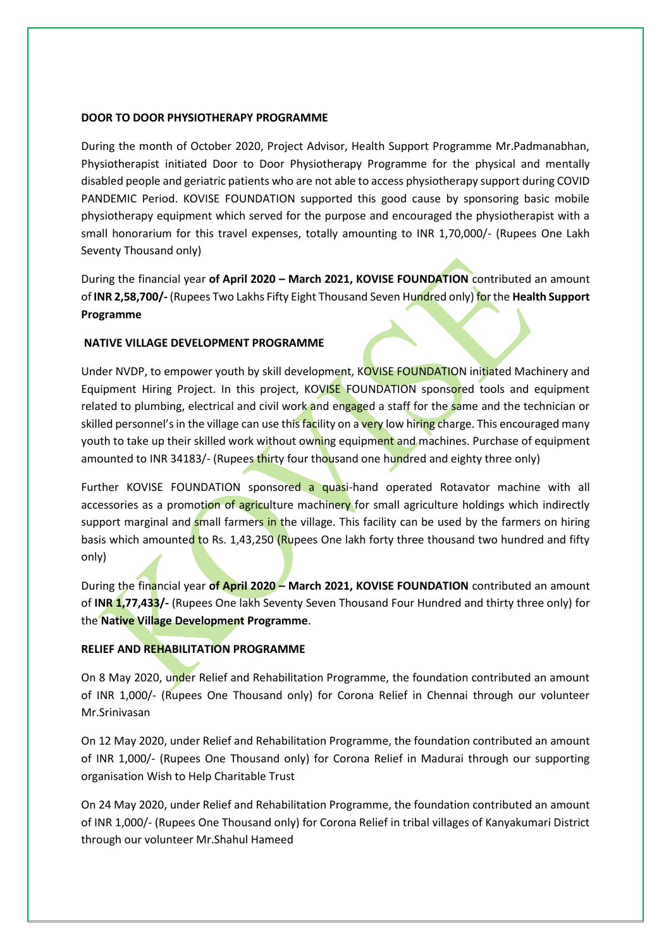#### **DOOR TO DOOR PHYSIOTHERAPY PROGRAMME**

During the month of October 2020, Project Advisor, Health Support Programme Mr.Padmanabhan, Physiotherapist initiated Door to Door Physiotherapy Programme for the physical and mentally disabled people and geriatric patients who are not able to access physiotherapy support during COVID PANDEMIC Period. KOVISE FOUNDATION supported this good cause by sponsoring basic mobile physiotherapy equipment which served for the purpose and encouraged the physiotherapist with a small honorarium for this travel expenses, totally amounting to INR 1,70,000/- (Rupees One Lakh Seventy Thousand only)

During the financial year **of April 2020 – March 2021, KOVISE FOUNDATION** contributed an amount of **INR 2,58,700/-** (Rupees Two Lakhs Fifty Eight Thousand Seven Hundred only) for the **Health Support Programme**

## **NATIVE VILLAGE DEVELOPMENT PROGRAMME**

Under NVDP, to empower youth by skill development, KOVISE FOUNDATION initiated Machinery and Equipment Hiring Project. In this project, KOVISE FOUNDATION sponsored tools and equipment related to plumbing, electrical and civil work and engaged a staff for the same and the technician or skilled personnel's in the village can use this facility on a very low hiring charge. This encouraged many youth to take up their skilled work without owning equipment and machines. Purchase of equipment amounted to INR 34183/- (Rupees thirty four thousand one hundred and eighty three only)

Further KOVISE FOUNDATION sponsored a quasi-hand operated Rotavator machine with all accessories as a promotion of agriculture machinery for small agriculture holdings which indirectly support marginal and small farmers in the village. This facility can be used by the farmers on hiring basis which amounted to Rs. 1,43,250 (Rupees One lakh forty three thousand two hundred and fifty only)

During the financial year **of April 2020 – March 2021, KOVISE FOUNDATION** contributed an amount of **INR 1,77,433/-** (Rupees One lakh Seventy Seven Thousand Four Hundred and thirty three only) for the **Native Village Development Programme**.

## **RELIEF AND REHABILITATION PROGRAMME**

On 8 May 2020, under Relief and Rehabilitation Programme, the foundation contributed an amount of INR 1,000/- (Rupees One Thousand only) for Corona Relief in Chennai through our volunteer Mr.Srinivasan

On 12 May 2020, under Relief and Rehabilitation Programme, the foundation contributed an amount of INR 1,000/- (Rupees One Thousand only) for Corona Relief in Madurai through our supporting organisation Wish to Help Charitable Trust

On 24 May 2020, under Relief and Rehabilitation Programme, the foundation contributed an amount of INR 1,000/- (Rupees One Thousand only) for Corona Relief in tribal villages of Kanyakumari District through our volunteer Mr.Shahul Hameed